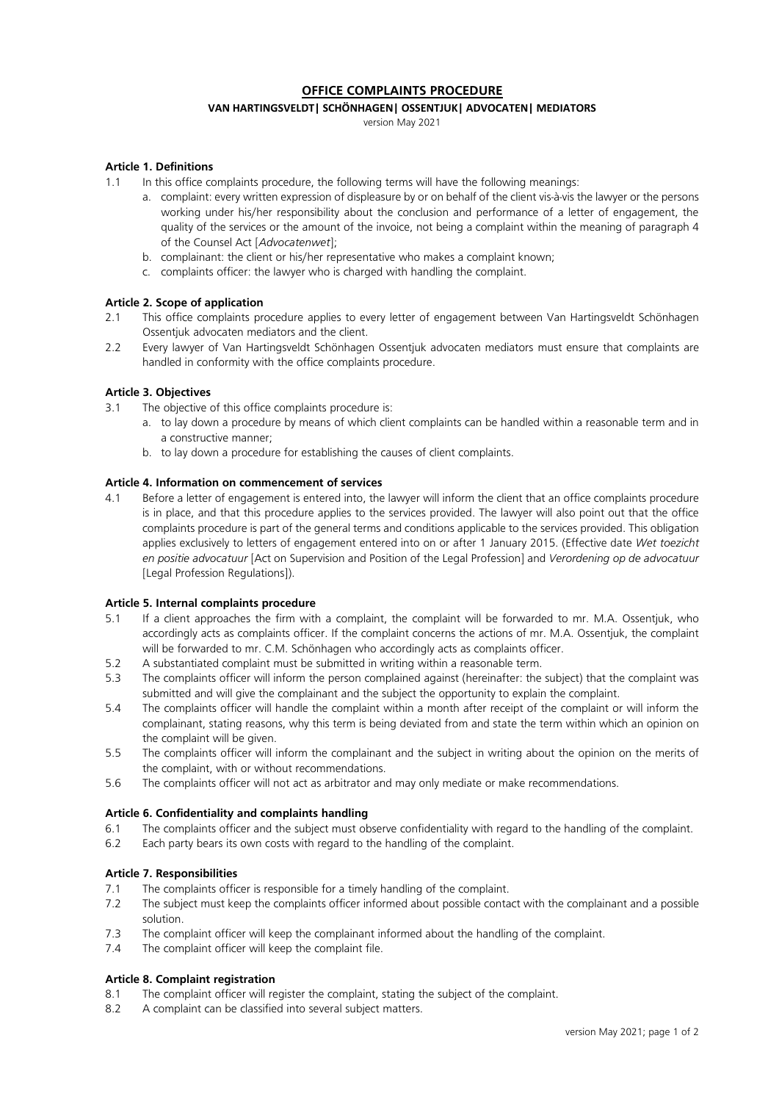# **OFFICE COMPLAINTS PROCEDURE**

# **VAN HARTINGSVELDT| SCHÖNHAGEN| OSSENTJUK| ADVOCATEN| MEDIATORS**

version May 2021

# **Article 1. Definitions**

- 1.1 In this office complaints procedure, the following terms will have the following meanings:
	- a. complaint: every written expression of displeasure by or on behalf of the client vis-à-vis the lawyer or the persons working under his/her responsibility about the conclusion and performance of a letter of engagement, the quality of the services or the amount of the invoice, not being a complaint within the meaning of paragraph 4 of the Counsel Act [*Advocatenwet*];
	- b. complainant: the client or his/her representative who makes a complaint known;
	- c. complaints officer: the lawyer who is charged with handling the complaint.

## **Article 2. Scope of application**

- 2.1 This office complaints procedure applies to every letter of engagement between Van Hartingsveldt Schönhagen Ossentjuk advocaten mediators and the client.
- 2.2 Every lawyer of Van Hartingsveldt Schönhagen Ossentjuk advocaten mediators must ensure that complaints are handled in conformity with the office complaints procedure.

## **Article 3. Objectives**

- 3.1 The objective of this office complaints procedure is:
	- a. to lay down a procedure by means of which client complaints can be handled within a reasonable term and in a constructive manner;
	- b. to lay down a procedure for establishing the causes of client complaints.

# **Article 4. Information on commencement of services**

4.1 Before a letter of engagement is entered into, the lawyer will inform the client that an office complaints procedure is in place, and that this procedure applies to the services provided. The lawyer will also point out that the office complaints procedure is part of the general terms and conditions applicable to the services provided. This obligation applies exclusively to letters of engagement entered into on or after 1 January 2015. (Effective date *Wet toezicht en positie advocatuur* [Act on Supervision and Position of the Legal Profession] and *Verordening op de advocatuur* [Legal Profession Regulations]).

#### **Article 5. Internal complaints procedure**

- 5.1 If a client approaches the firm with a complaint, the complaint will be forwarded to mr. M.A. Ossentjuk, who accordingly acts as complaints officer. If the complaint concerns the actions of mr. M.A. Ossentjuk, the complaint will be forwarded to mr. C.M. Schönhagen who accordingly acts as complaints officer.
- 5.2 A substantiated complaint must be submitted in writing within a reasonable term.
- 5.3 The complaints officer will inform the person complained against (hereinafter: the subject) that the complaint was submitted and will give the complainant and the subject the opportunity to explain the complaint.
- 5.4 The complaints officer will handle the complaint within a month after receipt of the complaint or will inform the complainant, stating reasons, why this term is being deviated from and state the term within which an opinion on the complaint will be given.
- 5.5 The complaints officer will inform the complainant and the subject in writing about the opinion on the merits of the complaint, with or without recommendations.
- 5.6 The complaints officer will not act as arbitrator and may only mediate or make recommendations.

#### **Article 6. Confidentiality and complaints handling**

- 6.1 The complaints officer and the subject must observe confidentiality with regard to the handling of the complaint.
- 6.2 Each party bears its own costs with regard to the handling of the complaint.

#### **Article 7. Responsibilities**

- 7.1 The complaints officer is responsible for a timely handling of the complaint.
- 7.2 The subject must keep the complaints officer informed about possible contact with the complainant and a possible solution.
- 7.3 The complaint officer will keep the complainant informed about the handling of the complaint.
- 7.4 The complaint officer will keep the complaint file.

#### **Article 8. Complaint registration**

- 8.1 The complaint officer will register the complaint, stating the subject of the complaint.
- 8.2 A complaint can be classified into several subject matters.